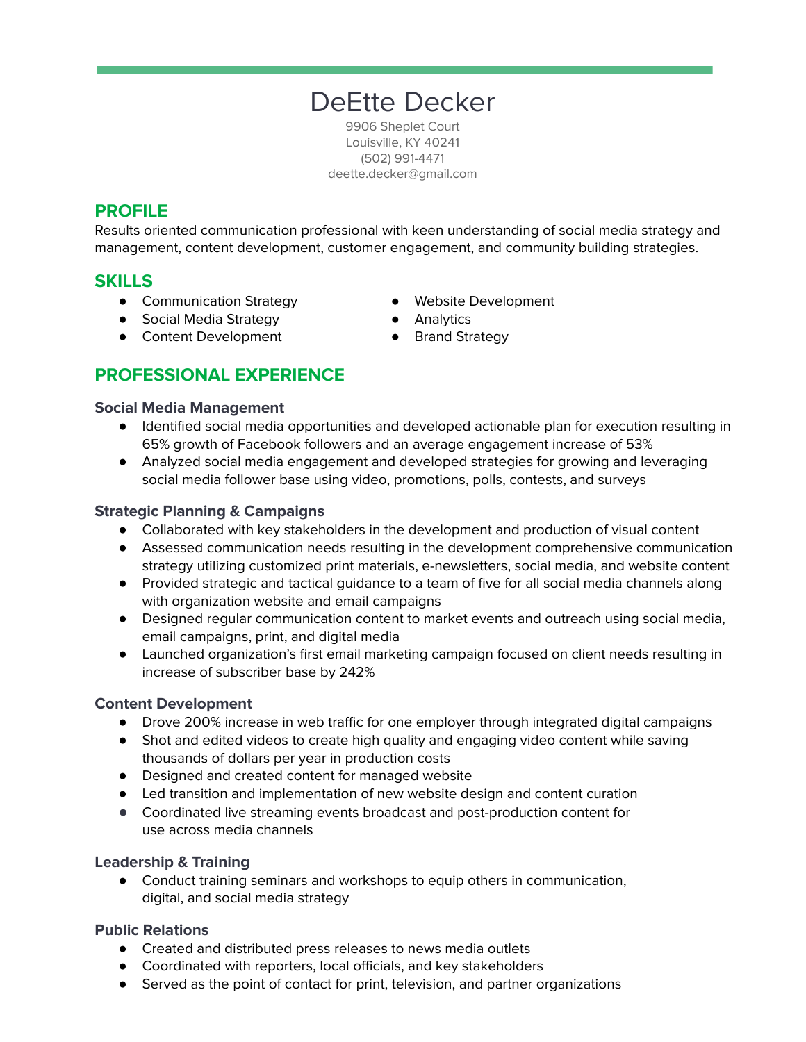# DeEtte Decker

9906 Sheplet Court Louisville, KY 40241 (502) 991-4471 deette.decker@gmail.com

# **PROFILE**

Results oriented communication professional with keen understanding of social media strategy and management, content development, customer engagement, and community building strategies.

## **SKILLS**

- Communication Strategy
- Social Media Strategy
- Content Development
- Website Development
- Analytics
- Brand Strategy

# **PROFESSIONAL EXPERIENCE**

#### **Social Media Management**

- Identified social media opportunities and developed actionable plan for execution resulting in 65% growth of Facebook followers and an average engagement increase of 53%
- Analyzed social media engagement and developed strategies for growing and leveraging social media follower base using video, promotions, polls, contests, and surveys

#### **Strategic Planning & Campaigns**

- Collaborated with key stakeholders in the development and production of visual content
- Assessed communication needs resulting in the development comprehensive communication strategy utilizing customized print materials, e-newsletters, social media, and website content
- Provided strategic and tactical guidance to a team of five for all social media channels along with organization website and email campaigns
- Designed regular communication content to market events and outreach using social media, email campaigns, print, and digital media
- Launched organization's first email marketing campaign focused on client needs resulting in increase of subscriber base by 242%

#### **Content Development**

- Drove 200% increase in web traffic for one employer through integrated digital campaigns
- Shot and edited videos to create high quality and engaging video content while saving thousands of dollars per year in production costs
- Designed and created content for managed website
- Led transition and implementation of new website design and content curation
- **●** Coordinated live streaming events broadcast and post-production content for use across media channels

#### **Leadership & Training**

● Conduct training seminars and workshops to equip others in communication, digital, and social media strategy

#### **Public Relations**

- Created and distributed press releases to news media outlets
- Coordinated with reporters, local officials, and key stakeholders
- Served as the point of contact for print, television, and partner organizations